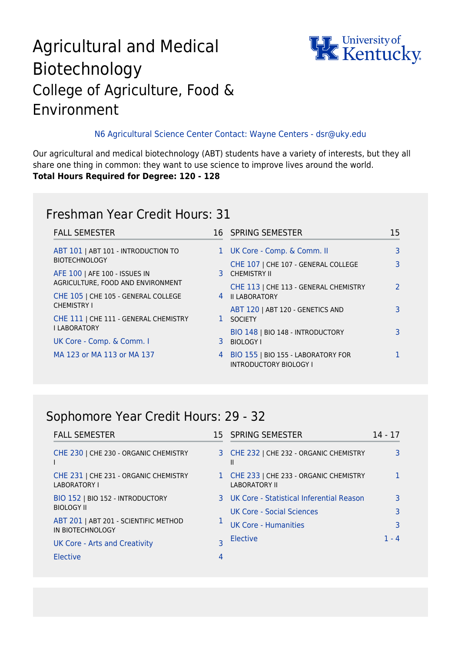# Agricultural and Medical Biotechnology College of Agriculture, Food & Environment



#### N6 Agricultural Science Center Contact: Wayne Centers - dsr@uky.edu

Our agricultural and medical biotechnology (ABT) students have a variety of interests, but they all share one thing in common: they want to use science to improve lives around the world. **Total Hours Required for Degree: 120 - 128**

### Freshman Year Credit Hours: 31

| <b>FALL SEMESTER</b>                  |   | 16 SPRING SEMESTER                                                  | 15 |
|---------------------------------------|---|---------------------------------------------------------------------|----|
| ABT 101   ABT 101 - INTRODUCTION TO   |   | 1 UK Core - Comp. & Comm. II                                        | 3  |
| <b>BIOTECHNOLOGY</b>                  |   | CHE 107   CHE 107 - GENERAL COLLEGE                                 |    |
| AFE 100   AFE 100 - ISSUES IN         |   | 3 CHEMISTRY II                                                      |    |
| AGRICULTURE, FOOD AND ENVIRONMENT     |   | CHE 113   CHE 113 - GENERAL CHEMISTRY                               |    |
| CHE 105   CHE 105 - GENERAL COLLEGE   |   | 4 II LABORATORY                                                     |    |
| <b>CHEMISTRY I</b>                    |   | ABT 120   ABT 120 - GENETICS AND                                    |    |
| CHE 111   CHE 111 - GENERAL CHEMISTRY |   | 1 SOCIETY                                                           |    |
| <b>I LABORATORY</b>                   |   | BIO 148   BIO 148 - INTRODUCTORY                                    |    |
| UK Core - Comp. & Comm. I             |   | 3 BIOLOGY I                                                         |    |
| MA 123 or MA 113 or MA 137            | 4 | BIO 155   BIO 155 - LABORATORY FOR<br><b>INTRODUCTORY BIOLOGY I</b> |    |

#### Sophomore Year Credit Hours: 29 - 32

| <b>FALL SEMESTER</b>                                      |              | 15 SPRING SEMESTER                                            | 14 - 17 |
|-----------------------------------------------------------|--------------|---------------------------------------------------------------|---------|
| CHE 230   CHE 230 - ORGANIC CHEMISTRY                     |              | 3 CHE 232   CHE 232 - ORGANIC CHEMISTRY<br>Ш                  |         |
| CHE 231   CHE 231 - ORGANIC CHEMISTRY<br>LABORATORY I     | $\mathbf{1}$ | CHE 233   CHE 233 - ORGANIC CHEMISTRY<br><b>LABORATORY II</b> |         |
| BIO 152   BIO 152 - INTRODUCTORY                          |              | 3 UK Core - Statistical Inferential Reason                    |         |
| <b>BIOLOGY II</b>                                         |              | UK Core - Social Sciences                                     |         |
| ABT 201   ABT 201 - SCIENTIFIC METHOD<br>IN BIOTECHNOLOGY |              | <b>UK Core - Humanities</b>                                   |         |
| <b>UK Core - Arts and Creativity</b>                      |              | Elective                                                      | 1 - 4   |
| Elective                                                  | 4            |                                                               |         |